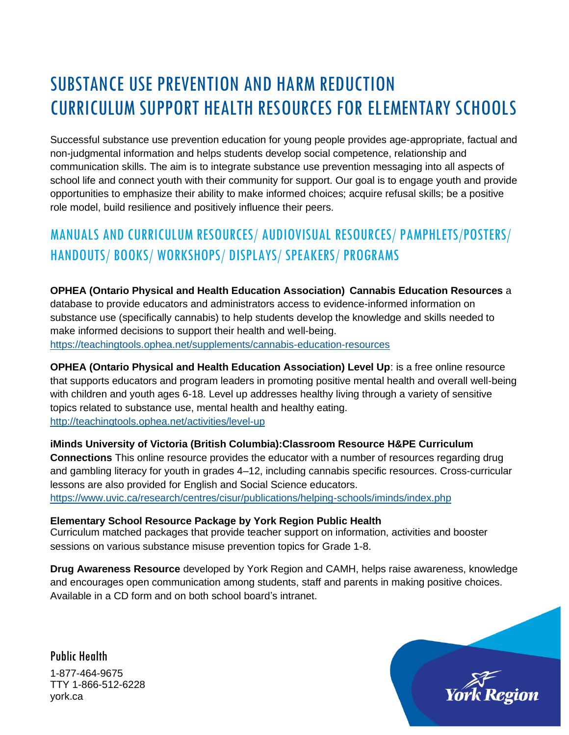# SUBSTANCE USE PREVENTION AND HARM REDUCTION CURRICULUM SUPPORT HEALTH RESOURCES FOR ELEMENTARY SCHOOLS

Successful substance use prevention education for young people provides age-appropriate, factual and non-judgmental information and helps students develop social competence, relationship and communication skills. The aim is to integrate substance use prevention messaging into all aspects of school life and connect youth with their community for support. Our goal is to engage youth and provide opportunities to emphasize their ability to make informed choices; acquire refusal skills; be a positive role model, build resilience and positively influence their peers.

## MANUALS AND CURRICULUM RESOURCES/ AUDIOVISUAL RESOURCES/ PAMPHLETS/POSTERS/ HANDOUTS/ BOOKS/ WORKSHOPS/ DISPLAYS/ SPEAKERS/ PROGRAMS

**OPHEA (Ontario Physical and Health Education Association) Cannabis Education Resources** a database to provide educators and administrators access to evidence-informed information on substance use (specifically cannabis) to help students develop the knowledge and skills needed to make informed decisions to support their health and well-being. <https://teachingtools.ophea.net/supplements/cannabis-education-resources>

**OPHEA (Ontario Physical and Health Education Association) Level Up**: is a free online resource that supports educators and program leaders in promoting positive mental health and overall well-being with children and youth ages 6-18. Level up addresses healthy living through a variety of sensitive topics related to substance use, mental health and healthy eating. <http://teachingtools.ophea.net/activities/level-up>

**iMinds University of Victoria (British Columbia):Classroom Resource H&PE Curriculum Connections** This online resource provides the educator with a number of resources regarding drug and gambling literacy for youth in grades 4–12, including cannabis specific resources. Cross-curricular lessons are also provided for English and Social Science educators. <https://www.uvic.ca/research/centres/cisur/publications/helping-schools/iminds/index.php>

**Elementary School Resource Package by York Region Public Health** Curriculum matched packages that provide teacher support on information, activities and booster sessions on various substance misuse prevention topics for Grade 1-8.

**Drug Awareness Resource** developed by York Region and CAMH, helps raise awareness, knowledge and encourages open communication among students, staff and parents in making positive choices. Available in a CD form and on both school board's intranet.

Public Health 1-877-464-9675 TTY 1-866-512-6228 york.ca

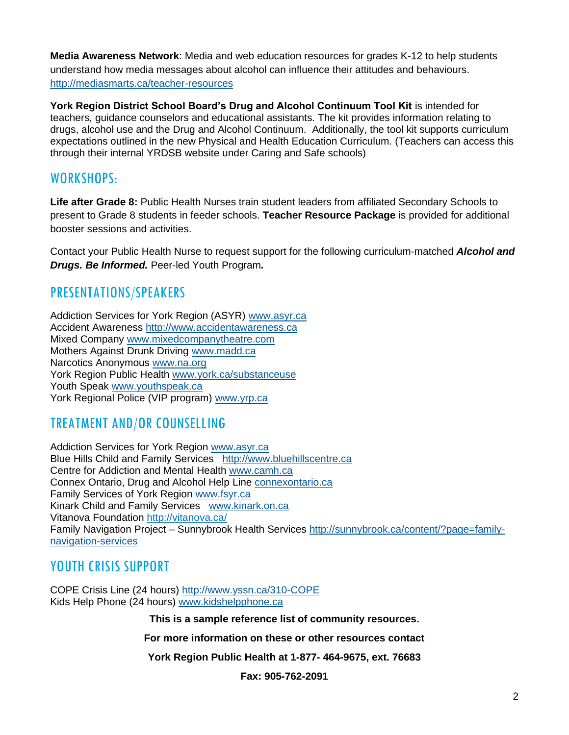**Media Awareness Network**: Media and web education resources for grades K-12 to help students understand how media messages about alcohol can influence their attitudes and behaviours. <http://mediasmarts.ca/teacher-resources>

**York Region District School Board's Drug and Alcohol Continuum Tool Kit** is intended for teachers, guidance counselors and educational assistants. The kit provides information relating to drugs, alcohol use and the Drug and Alcohol Continuum. Additionally, the tool kit supports curriculum expectations outlined in the new Physical and Health Education Curriculum. (Teachers can access this through their internal YRDSB website under Caring and Safe schools)

#### WORKSHOPS:

**Life after Grade 8:** Public Health Nurses train student leaders from affiliated Secondary Schools to present to Grade 8 students in feeder schools. **Teacher Resource Package** is provided for additional booster sessions and activities.

Contact your Public Health Nurse to request support for the following curriculum-matched *Alcohol and Drugs. Be Informed.* Peer-led Youth Program*.* 

#### PRESENTATIONS/SPEAKERS

Addiction Services for York Region (ASYR) [www.asyr.ca](http://www.asyr.ca/) Accident Awareness [http://www.accidentawareness.ca](http://www.accidentawareness.ca/) Mixed Company [www.mixedcompanytheatre.com](http://www.mixedcompanytheatre.com/) Mothers Against Drunk Driving [www.madd.ca](http://www.madd.ca/) Narcotics Anonymous [www.na.org](http://www.na.org/) York Region Public Health [www.york.ca/substanceuse](http://www.york.ca/substanceuse) Youth Speak [www.youthspeak.ca](http://www.youthspeak.ca/) York Regional Police (VIP program) [www.yrp.ca](http://www.yrp.ca/) 

### TREATMENT AND/OR COUNSELLING

Addiction Services for York Region [www.asyr.ca](http://www.asyr.ca/) Blue Hills Child and Family Services [http://www.bluehillscentre.ca](http://www.bluehillscentre.ca/) Centre for Addiction and Mental Health [www.camh.ca](http://www.camh.ca/) Connex Ontario, Drug and Alcohol Help Line [connexontario.ca](https://www.connexontario.ca/en-ca/) Family Services of York Region [www.fsyr.ca](http://www.fsyr.ca/) Kinark Child and Family Services [www.kinark.on.ca](http://www.kinark.on.ca/) Vitanova Foundation<http://vitanova.ca/> Family Navigation Project – Sunnybrook Health Services [http://sunnybrook.ca/content/?page=family](http://sunnybrook.ca/content/?page=family-navigation-services)[navigation-services](http://sunnybrook.ca/content/?page=family-navigation-services)

#### YOUTH CRISIS SUPPORT

COPE Crisis Line (24 hours)<http://www.yssn.ca/310-COPE> Kids Help Phone (24 hours) [www.kidshelpphone.ca](http://www.kidshelpphone.ca/)

**This is a sample reference list of community resources.**

**For more information on these or other resources contact**

**York Region Public Health at 1-877- 464-9675, ext. 76683**

**Fax: 905-762-2091**